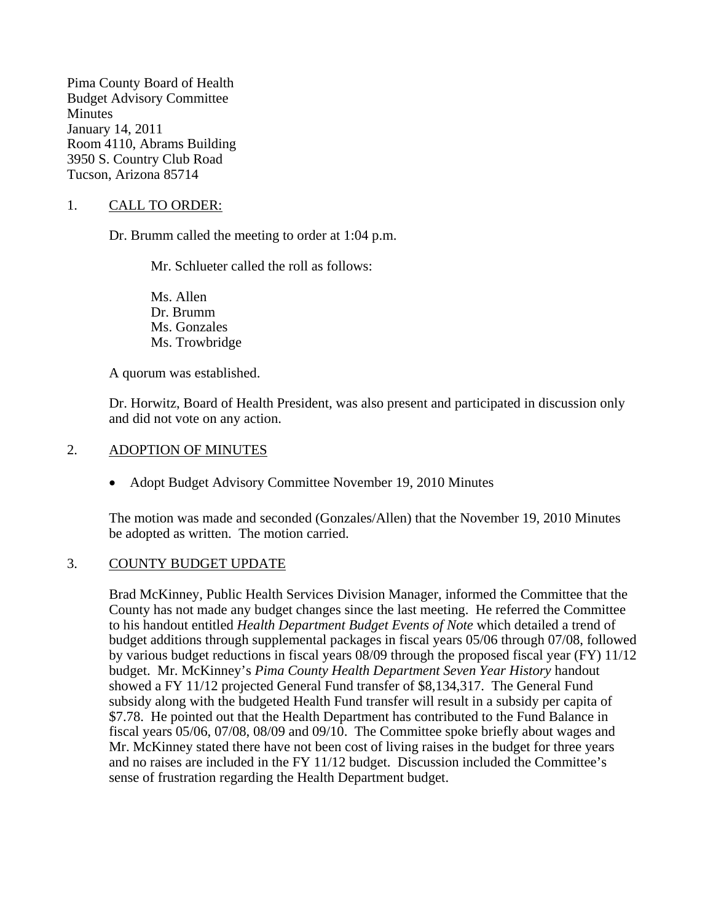Pima County Board of Health Budget Advisory Committee Minutes January 14, 2011 Room 4110, Abrams Building 3950 S. Country Club Road Tucson, Arizona 85714

## 1. CALL TO ORDER:

Dr. Brumm called the meeting to order at 1:04 p.m.

Mr. Schlueter called the roll as follows:

Ms. Allen Dr. Brumm Ms. Gonzales Ms. Trowbridge

A quorum was established.

Dr. Horwitz, Board of Health President, was also present and participated in discussion only and did not vote on any action.

### 2. ADOPTION OF MINUTES

• Adopt Budget Advisory Committee November 19, 2010 Minutes

The motion was made and seconded (Gonzales/Allen) that the November 19, 2010 Minutes be adopted as written. The motion carried.

### 3. COUNTY BUDGET UPDATE

Brad McKinney, Public Health Services Division Manager, informed the Committee that the County has not made any budget changes since the last meeting. He referred the Committee to his handout entitled *Health Department Budget Events of Note* which detailed a trend of budget additions through supplemental packages in fiscal years 05/06 through 07/08, followed by various budget reductions in fiscal years 08/09 through the proposed fiscal year (FY) 11/12 budget. Mr. McKinney's *Pima County Health Department Seven Year History* handout showed a FY 11/12 projected General Fund transfer of \$8,134,317. The General Fund subsidy along with the budgeted Health Fund transfer will result in a subsidy per capita of \$7.78. He pointed out that the Health Department has contributed to the Fund Balance in fiscal years 05/06, 07/08, 08/09 and 09/10. The Committee spoke briefly about wages and Mr. McKinney stated there have not been cost of living raises in the budget for three years and no raises are included in the FY 11/12 budget. Discussion included the Committee's sense of frustration regarding the Health Department budget.